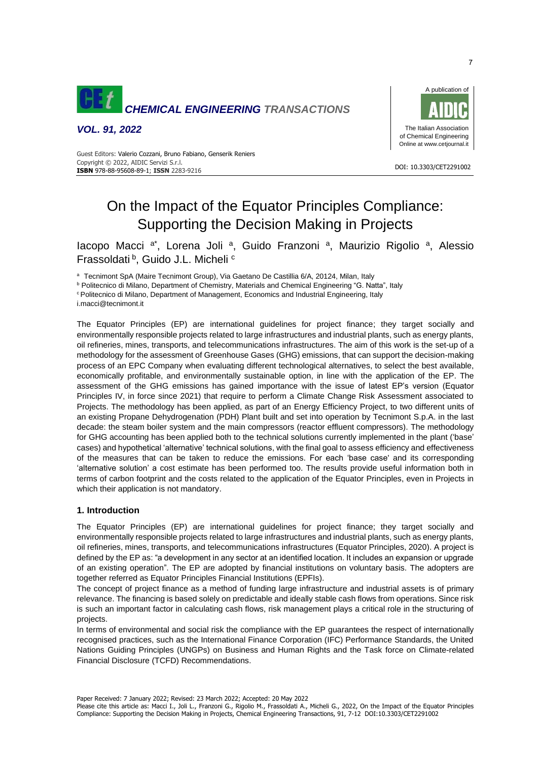

*VOL. 91, 2022*



DOI: 10.3303/CET2291002

 Copyright © 2022, AIDIC Servizi S.r.l. Guest Editors: Valerio Cozzani, Bruno Fabiano, Genserik Reniers **ISBN** 978-88-95608-89-1; **ISSN** 2283-9216

# On the Impact of the Equator Principles Compliance: Supporting the Decision Making in Projects

lacopo Macci <sup>a\*</sup>, Lorena Joli <sup>a</sup>, Guido Franzoni <sup>a</sup>, Maurizio Rigolio <sup>a</sup>, Alessio Frassoldati<sup>b</sup>, Guido J.L. Micheli<sup>c</sup>

<sup>a</sup> Tecnimont SpA (Maire Tecnimont Group), Via Gaetano De Castillia 6/A, 20124, Milan, Italy

b Politecnico di Milano, Department of Chemistry, Materials and Chemical Engineering "G. Natta", Italy

<sup>c</sup> Politecnico di Milano, Department of Management, Economics and Industrial Engineering, Italy

i.macci@tecnimont.it

The Equator Principles (EP) are international guidelines for project finance; they target socially and environmentally responsible projects related to large infrastructures and industrial plants, such as energy plants, oil refineries, mines, transports, and telecommunications infrastructures. The aim of this work is the set-up of a methodology for the assessment of Greenhouse Gases (GHG) emissions, that can support the decision-making process of an EPC Company when evaluating different technological alternatives, to select the best available, economically profitable, and environmentally sustainable option, in line with the application of the EP. The assessment of the GHG emissions has gained importance with the issue of latest EP's version (Equator Principles IV, in force since 2021) that require to perform a Climate Change Risk Assessment associated to Projects. The methodology has been applied, as part of an Energy Efficiency Project, to two different units of an existing Propane Dehydrogenation (PDH) Plant built and set into operation by Tecnimont S.p.A. in the last decade: the steam boiler system and the main compressors (reactor effluent compressors). The methodology for GHG accounting has been applied both to the technical solutions currently implemented in the plant ('base' cases) and hypothetical 'alternative' technical solutions, with the final goal to assess efficiency and effectiveness of the measures that can be taken to reduce the emissions. For each 'base case' and its corresponding 'alternative solution' a cost estimate has been performed too. The results provide useful information both in terms of carbon footprint and the costs related to the application of the Equator Principles, even in Projects in which their application is not mandatory.

# **1. Introduction**

The Equator Principles (EP) are international guidelines for project finance; they target socially and environmentally responsible projects related to large infrastructures and industrial plants, such as energy plants, oil refineries, mines, transports, and telecommunications infrastructures (Equator Principles, 2020). A project is defined by the EP as: "a development in any sector at an identified location. It includes an expansion or upgrade of an existing operation". The EP are adopted by financial institutions on voluntary basis. The adopters are together referred as Equator Principles Financial Institutions (EPFIs).

The concept of project finance as a method of funding large infrastructure and industrial assets is of primary relevance. The financing is based solely on predictable and ideally stable cash flows from operations. Since risk is such an important factor in calculating cash flows, risk management plays a critical role in the structuring of projects.

In terms of environmental and social risk the compliance with the EP guarantees the respect of internationally recognised practices, such as the International Finance Corporation (IFC) Performance Standards, the United Nations Guiding Principles (UNGPs) on Business and Human Rights and the Task force on Climate-related Financial Disclosure (TCFD) Recommendations.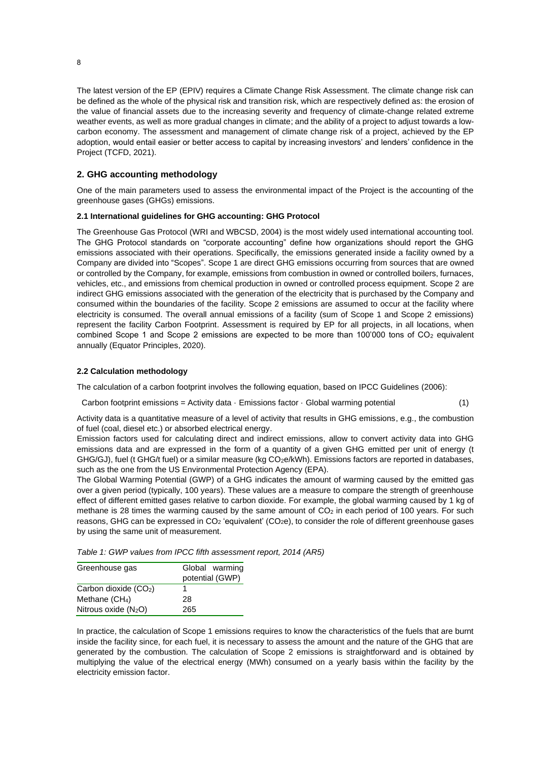The latest version of the EP (EPIV) requires a Climate Change Risk Assessment. The climate change risk can be defined as the whole of the physical risk and transition risk, which are respectively defined as: the erosion of the value of financial assets due to the increasing severity and frequency of climate-change related extreme weather events, as well as more gradual changes in climate; and the ability of a project to adjust towards a lowcarbon economy. The assessment and management of climate change risk of a project, achieved by the EP adoption, would entail easier or better access to capital by increasing investors' and lenders' confidence in the Project (TCFD, 2021).

## **2. GHG accounting methodology**

One of the main parameters used to assess the environmental impact of the Project is the accounting of the greenhouse gases (GHGs) emissions.

## **2.1 International guidelines for GHG accounting: GHG Protocol**

The Greenhouse Gas Protocol (WRI and WBCSD, 2004) is the most widely used international accounting tool. The GHG Protocol standards on "corporate accounting" define how organizations should report the GHG emissions associated with their operations. Specifically, the emissions generated inside a facility owned by a Company are divided into "Scopes". Scope 1 are direct GHG emissions occurring from sources that are owned or controlled by the Company, for example, emissions from combustion in owned or controlled boilers, furnaces, vehicles, etc., and emissions from chemical production in owned or controlled process equipment. Scope 2 are indirect GHG emissions associated with the generation of the electricity that is purchased by the Company and consumed within the boundaries of the facility. Scope 2 emissions are assumed to occur at the facility where electricity is consumed. The overall annual emissions of a facility (sum of Scope 1 and Scope 2 emissions) represent the facility Carbon Footprint. Assessment is required by EP for all projects, in all locations, when combined Scope 1 and Scope 2 emissions are expected to be more than  $100'000$  tons of  $CO<sub>2</sub>$  equivalent annually (Equator Principles, 2020).

#### **2.2 Calculation methodology**

The calculation of a carbon footprint involves the following equation, based on IPCC Guidelines (2006):

Carbon footprint emissions = Activity data  $\cdot$  Emissions factor  $\cdot$  Global warming potential (1)

Activity data is a quantitative measure of a level of activity that results in GHG emissions, e.g., the combustion of fuel (coal, diesel etc.) or absorbed electrical energy.

Emission factors used for calculating direct and indirect emissions, allow to convert activity data into GHG emissions data and are expressed in the form of a quantity of a given GHG emitted per unit of energy (t GHG/GJ), fuel (t GHG/t fuel) or a similar measure (kg CO<sub>2</sub>e/kWh). Emissions factors are reported in databases, such as the one from the US Environmental Protection Agency (EPA).

The Global Warming Potential (GWP) of a GHG indicates the amount of warming caused by the emitted gas over a given period (typically, 100 years). These values are a measure to compare the strength of greenhouse effect of different emitted gases relative to carbon dioxide. For example, the global warming caused by 1 kg of methane is 28 times the warming caused by the same amount of  $CO<sub>2</sub>$  in each period of 100 years. For such reasons, GHG can be expressed in  $CO<sub>2</sub>$  'equivalent' ( $CO<sub>2</sub>e$ ), to consider the role of different greenhouse gases by using the same unit of measurement.

*Table 1: GWP values from IPCC fifth assessment report, 2014 (AR5)*

| Greenhouse gas             | Global warming<br>potential (GWP) |
|----------------------------|-----------------------------------|
| Carbon dioxide $(CO2)$     |                                   |
| Methane (CH <sub>4</sub> ) | 28                                |
| Nitrous oxide $(N_2O)$     | 265                               |

In practice, the calculation of Scope 1 emissions requires to know the characteristics of the fuels that are burnt inside the facility since, for each fuel, it is necessary to assess the amount and the nature of the GHG that are generated by the combustion. The calculation of Scope 2 emissions is straightforward and is obtained by multiplying the value of the electrical energy (MWh) consumed on a yearly basis within the facility by the electricity emission factor.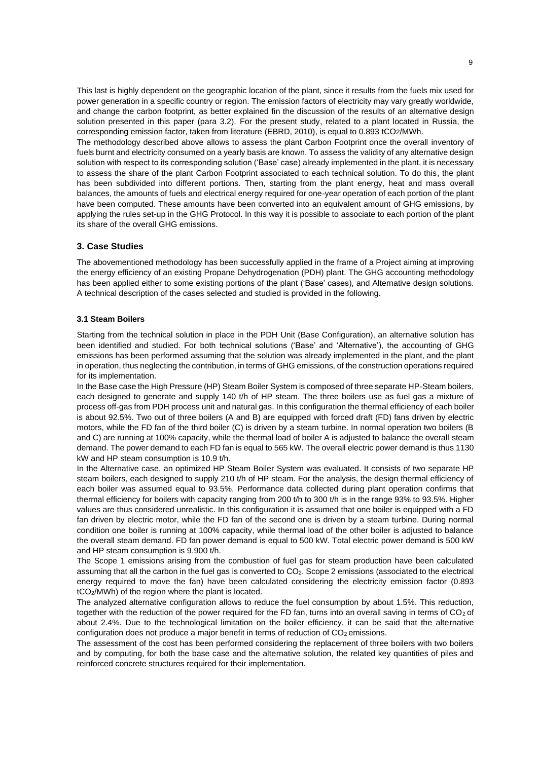This last is highly dependent on the geographic location of the plant, since it results from the fuels mix used for power generation in a specific country or region. The emission factors of electricity may vary greatly worldwide, and change the carbon footprint, as better explained fin the discussion of the results of an alternative design solution presented in this paper (para 3.2). For the present study, related to a plant located in Russia, the corresponding emission factor, taken from literature (EBRD, 2010), is equal to 0.893 tCO2/MWh.

The methodology described above allows to assess the plant Carbon Footprint once the overall inventory of fuels burnt and electricity consumed on a yearly basis are known. To assess the validity of any alternative design solution with respect to its corresponding solution ('Base' case) already implemented in the plant, it is necessary to assess the share of the plant Carbon Footprint associated to each technical solution. To do this, the plant has been subdivided into different portions. Then, starting from the plant energy, heat and mass overall balances, the amounts of fuels and electrical energy required for one-year operation of each portion of the plant have been computed. These amounts have been converted into an equivalent amount of GHG emissions, by applying the rules set-up in the GHG Protocol. In this way it is possible to associate to each portion of the plant its share of the overall GHG emissions.

## **3. Case Studies**

The abovementioned methodology has been successfully applied in the frame of a Project aiming at improving the energy efficiency of an existing Propane Dehydrogenation (PDH) plant. The GHG accounting methodology has been applied either to some existing portions of the plant ('Base' cases), and Alternative design solutions. A technical description of the cases selected and studied is provided in the following.

#### **3.1 Steam Boilers**

Starting from the technical solution in place in the PDH Unit (Base Configuration), an alternative solution has been identified and studied. For both technical solutions ('Base' and 'Alternative'), the accounting of GHG emissions has been performed assuming that the solution was already implemented in the plant, and the plant in operation, thus neglecting the contribution, in terms of GHG emissions, of the construction operations required for its implementation.

In the Base case the High Pressure (HP) Steam Boiler System is composed of three separate HP-Steam boilers, each designed to generate and supply 140 t/h of HP steam. The three boilers use as fuel gas a mixture of process off-gas from PDH process unit and natural gas. In this configuration the thermal efficiency of each boiler is about 92.5%. Two out of three boilers (A and B) are equipped with forced draft (FD) fans driven by electric motors, while the FD fan of the third boiler (C) is driven by a steam turbine. In normal operation two boilers (B and C) are running at 100% capacity, while the thermal load of boiler A is adjusted to balance the overall steam demand. The power demand to each FD fan is equal to 565 kW. The overall electric power demand is thus 1130 kW and HP steam consumption is 10.9 t/h.

In the Alternative case, an optimized HP Steam Boiler System was evaluated. It consists of two separate HP steam boilers, each designed to supply 210 t/h of HP steam. For the analysis, the design thermal efficiency of each boiler was assumed equal to 93.5%. Performance data collected during plant operation confirms that thermal efficiency for boilers with capacity ranging from 200 t/h to 300 t/h is in the range 93% to 93.5%. Higher values are thus considered unrealistic. In this configuration it is assumed that one boiler is equipped with a FD fan driven by electric motor, while the FD fan of the second one is driven by a steam turbine. During normal condition one boiler is running at 100% capacity, while thermal load of the other boiler is adjusted to balance the overall steam demand. FD fan power demand is equal to 500 kW. Total electric power demand is 500 kW and HP steam consumption is 9.900 t/h.

The Scope 1 emissions arising from the combustion of fuel gas for steam production have been calculated assuming that all the carbon in the fuel gas is converted to CO2. Scope 2 emissions (associated to the electrical energy required to move the fan) have been calculated considering the electricity emission factor (0.893 tCO2/MWh) of the region where the plant is located.

The analyzed alternative configuration allows to reduce the fuel consumption by about 1.5%. This reduction, together with the reduction of the power required for the FD fan, turns into an overall saving in terms of  $CO<sub>2</sub>$  of about 2.4%. Due to the technological limitation on the boiler efficiency, it can be said that the alternative configuration does not produce a major benefit in terms of reduction of  $CO<sub>2</sub>$  emissions.

The assessment of the cost has been performed considering the replacement of three boilers with two boilers and by computing, for both the base case and the alternative solution, the related key quantities of piles and reinforced concrete structures required for their implementation.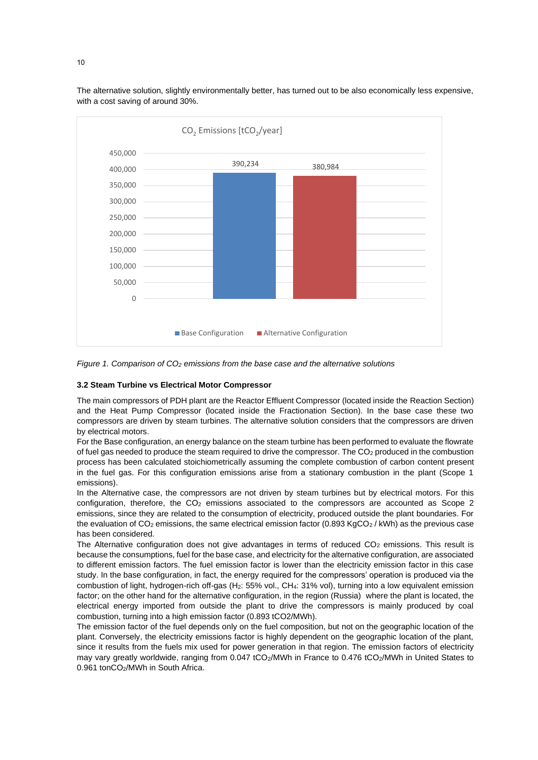

The alternative solution, slightly environmentally better, has turned out to be also economically less expensive, with a cost saving of around 30%.

*Figure 1. Comparison of CO<sup>2</sup> emissions from the base case and the alternative solutions*

#### **3.2 Steam Turbine vs Electrical Motor Compressor**

The main compressors of PDH plant are the Reactor Effluent Compressor (located inside the Reaction Section) and the Heat Pump Compressor (located inside the Fractionation Section). In the base case these two compressors are driven by steam turbines. The alternative solution considers that the compressors are driven by electrical motors.

For the Base configuration, an energy balance on the steam turbine has been performed to evaluate the flowrate of fuel gas needed to produce the steam required to drive the compressor. The CO<sub>2</sub> produced in the combustion process has been calculated stoichiometrically assuming the complete combustion of carbon content present in the fuel gas. For this configuration emissions arise from a stationary combustion in the plant (Scope 1 emissions).

In the Alternative case, the compressors are not driven by steam turbines but by electrical motors. For this configuration, therefore, the CO<sup>2</sup> emissions associated to the compressors are accounted as Scope 2 emissions, since they are related to the consumption of electricity, produced outside the plant boundaries. For the evaluation of  $CO<sub>2</sub>$  emissions, the same electrical emission factor (0.893 KgCO<sub>2</sub> / kWh) as the previous case has been considered.

The Alternative configuration does not give advantages in terms of reduced  $CO<sub>2</sub>$  emissions. This result is because the consumptions, fuel for the base case, and electricity for the alternative configuration, are associated to different emission factors. The fuel emission factor is lower than the electricity emission factor in this case study. In the base configuration, in fact, the energy required for the compressors' operation is produced via the combustion of light, hydrogen-rich off-gas (H2: 55% vol., CH4: 31% vol), turning into a low equivalent emission factor; on the other hand for the alternative configuration, in the region (Russia) where the plant is located, the electrical energy imported from outside the plant to drive the compressors is mainly produced by coal combustion, turning into a high emission factor (0.893 tCO2/MWh).

The emission factor of the fuel depends only on the fuel composition, but not on the geographic location of the plant. Conversely, the electricity emissions factor is highly dependent on the geographic location of the plant, since it results from the fuels mix used for power generation in that region. The emission factors of electricity may vary greatly worldwide, ranging from 0.047 tCO<sub>2</sub>/MWh in France to 0.476 tCO<sub>2</sub>/MWh in United States to 0.961 tonCO<sub>2</sub>/MWh in South Africa.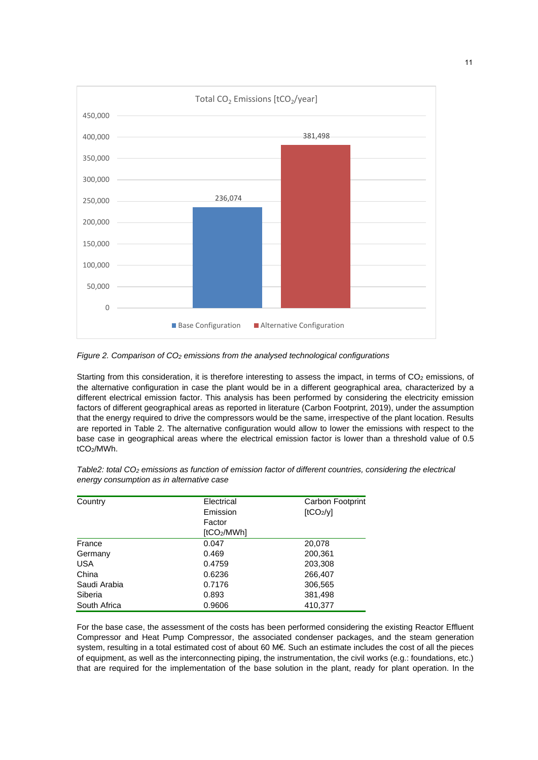

*Figure 2. Comparison of CO<sup>2</sup> emissions from the analysed technological configurations*

Starting from this consideration, it is therefore interesting to assess the impact, in terms of CO<sub>2</sub> emissions, of the alternative configuration in case the plant would be in a different geographical area, characterized by a different electrical emission factor. This analysis has been performed by considering the electricity emission factors of different geographical areas as reported in literature (Carbon Footprint, 2019), under the assumption that the energy required to drive the compressors would be the same, irrespective of the plant location. Results are reported in Table 2. The alternative configuration would allow to lower the emissions with respect to the base case in geographical areas where the electrical emission factor is lower than a threshold value of 0.5 tCO2/MWh.

| Country      | Electrical | Carbon Footprint      |
|--------------|------------|-----------------------|
|              | Emission   | [tCO <sub>2</sub> /v] |
|              | Factor     |                       |
|              | [tCO2/MWh] |                       |
| France       | 0.047      | 20,078                |
| Germany      | 0.469      | 200,361               |
| <b>USA</b>   | 0.4759     | 203,308               |
| China        | 0.6236     | 266,407               |
| Saudi Arabia | 0.7176     | 306,565               |
| Siberia      | 0.893      | 381,498               |
| South Africa | 0.9606     | 410,377               |

*Table2: total CO<sup>2</sup> emissions as function of emission factor of different countries, considering the electrical energy consumption as in alternative case*

For the base case, the assessment of the costs has been performed considering the existing Reactor Effluent Compressor and Heat Pump Compressor, the associated condenser packages, and the steam generation system, resulting in a total estimated cost of about 60 M€. Such an estimate includes the cost of all the pieces of equipment, as well as the interconnecting piping, the instrumentation, the civil works (e.g.: foundations, etc.) that are required for the implementation of the base solution in the plant, ready for plant operation. In the